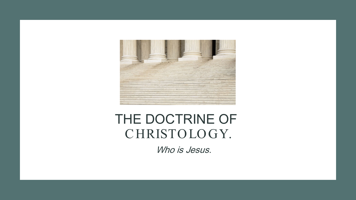

## THE DOCTRINE OF C HRISTO LO GY.

Who is Jesus.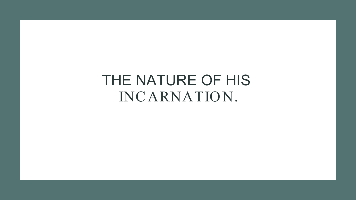# THE NATURE OF HIS INCARNATION.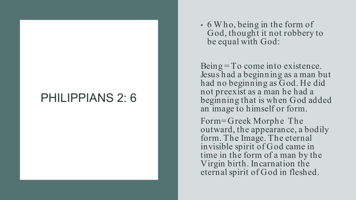#### PHILIPPIANS 2: 6

• 6 W ho, being in the form of God, thought it not robbery to be equal with God:

Being  $=$  To come into existence. Jesus had a beginning as a man but had no beginning as God. He did not preexist as a man he had a beginning that is when God added an image to himself or form.

Form= Greek Morphe The outward, the appearance, a bodily form. The Image. The eternal invisible spirit of God came in time in the form of a man by the Virgin birth. Incarnation the eternal spirit of God in fleshed.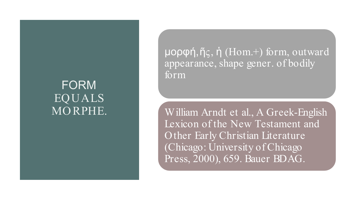#### FORM EQUALS MO RPHE.

μορφή, ῆς, ἡ (Hom.+) form, outward appearance, shape gener. of bodily form

William Arndt et al., A Greek -English Lexicon of the New Testament and Other Early Christian Literature (Chicago: University of Chicago Press, 2000), 659. Bauer BDAG.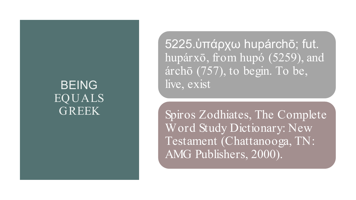#### BEING EQUALS GREEK

5225. ὑπάρχω hupárchō; fut. hupárxō, from hupó (5259), and árchō (757), to begin. To be, live, exist

Spiros Zodhiates, The Complete Word Study Dictionary: New Testament (Chattanooga, TN: AMG Publishers, 2000).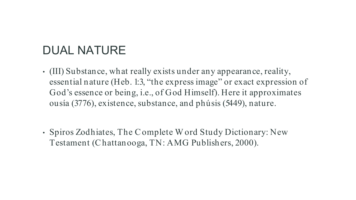## DUAL NATURE

- (III) Substance, what really exists under any appearance, reality, essential nature (Heb. 1:3, "the express image" or exact expression of God's essence or being, i.e., of God Himself). Here it approximates ousía (3776), existence, substance, and phúsis (5449), nature.
- Spiros Zodhiates, The C omplete W ord Study Dictionary: New Testament (C hattanooga, TN: AMG Publishers, 2000).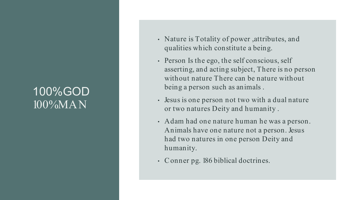#### 100%GOD 100%MAN

- Nature is Totality of power ,attributes, and qualities which constitute a being.
- Person Is the ego, the self conscious, self asserting, and acting subject, There is no person without nature There can be nature without being a person such as animals .
- Jesus is one person not two with a dual nature or two natures Deity and humanity .
- Adam had one nature human he was a person. Animals have one nature not a person. Jesus had two natures in one person Deity and humanity.
- C onner pg. 186 biblical doctrines.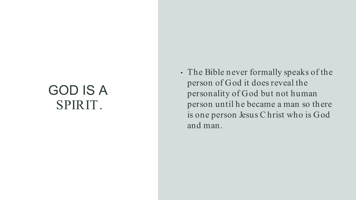## GOD IS A SPIRIT.

• The Bible never formally speaks of the person of God it does reveal the personality of God but not human person until he became a man so there is one person Jesus C hrist who is God and man.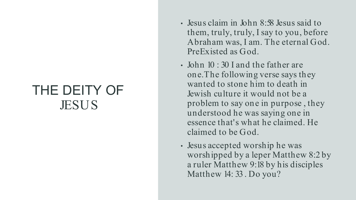## THE DEITY OF **JESUS**

- Jesus claim in John 8:58 Jesus said to them, truly, truly, I say to you, before Abraham was, I am. The eternal God. PreExisted as God.
- John 10 : 30 I and the father are one.The following verse says they wanted to stone him to death in Jewish culture it would not be a problem to say one in purpose , they understood he was saying one in essence that's what he claimed. He claimed to be God.
- Jesus accepted worship he was worshipped by a leper Matthew 8:2 by a ruler Matthew 9:18 by his disciples Matthew 14: 33 . Do you?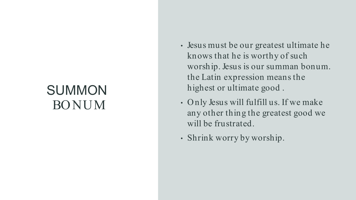# SUMMON BO NUM

- Jesus must be our greatest ultimate he knows that he is worthy of such worship. Jesus is our summan bonum. the Latin expression means the highest or ultimate good .
- O nly Jesus will fulfill us. If we make any other thing the greatest good we will be frustrated.
- Shrink worry by worship.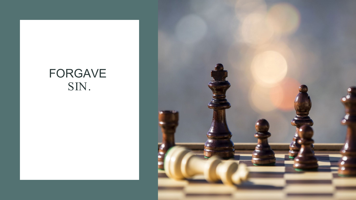### FORGAVE SIN.

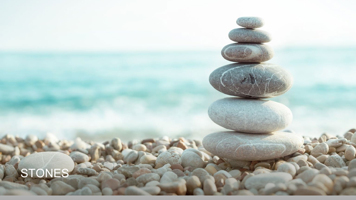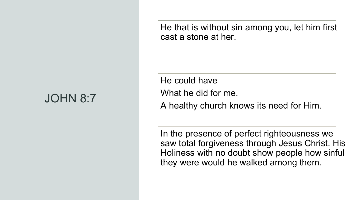## JOHN 8:7

He that is without sin among you, let him first cast a stone at her.

He could have What he did for me. A healthy church knows its need for Him.

In the presence of perfect righteousness we saw total forgiveness through Jesus Christ. His Holiness with no doubt show people how sinful they were would he walked among them.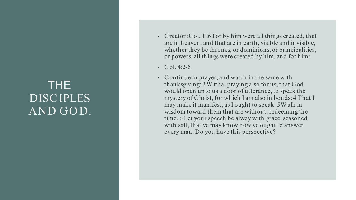#### THE DISC IPLES AND GOD.

- C reator : C ol. 1:16 For by him were all things created, that are in heaven, and that are in earth, visible and invisible, whether they be thrones, or dominions, or principalities, or powers: all things were created by him, and for him:
- Col. 4:2-6
- C ontinue in prayer, and watch in the same with thanksgiving; 3W ithal praying also for us, that God would open unto us a door of utterance, to speak the mystery of C hrist, for which I am also in bonds: 4 That I may make it manifest, as I ought to speak. 5W alk in wisdom toward them that are without, redeeming the time. 6 Let your speech be alway with grace, seasoned with salt, that ye may know how ye ought to answer every man. Do you have this perspective?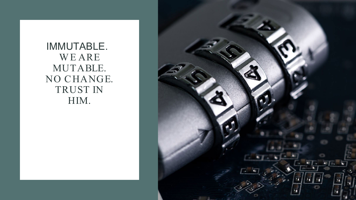IMMUTABLE. W E ARE MUTABLE. NO CHANGE. TRUST IN HIM.

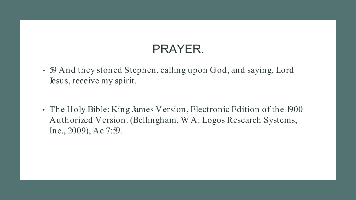## PRAYER.

- 59 And they stoned Stephen, calling upon God, and saying, Lord Jesus, receive my spirit.
- The Holy Bible: King James Version, Electronic Edition of the 1900 Authorized Version. (Bellingham, W A: Logos Research Systems, Inc., 2009), Ac 7:59.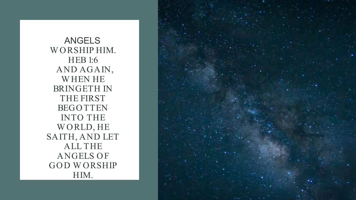ANGELS WORSHIP HIM. HEB 1:6 AND AGAIN, W HEN HE BRINGETH IN THE FIRST **BEGOTTEN** INTO THE W O RLD, HE SAITH, AND LET ALL THE **ANGELS OF** GOD WORSHIP HIM.

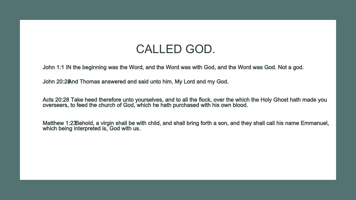#### CALLED GOD.

John 1:1 IN the beginning was the Word, and the Word was with God, and the Word was God. Not a god.

John 20:28And Thomas answered and said unto him, My Lord and my God.

Acts 20:28 Take heed therefore unto yourselves, and to all the flock, over the which the Holy Ghost hath made you overseers, to feed the church of God, which he hath purchased with his own blood.

Matthew 1:23 Behold, a virgin shall be with child, and shall bring forth a son, and they shall call his name Emmanuel, which being interpreted is, God with us.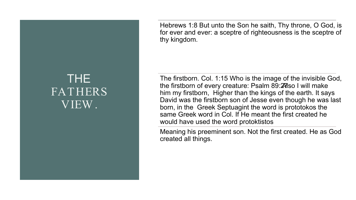#### THE FATHERS VIEW .

Hebrews 1:8 But unto the Son he saith, Thy throne, O God, is for ever and ever: a sceptre of righteousness is the sceptre of thy kingdom.

The firstborn. Col. 1:15 Who is the image of the invisible God, the firstborn of every creature: Psalm 89:29 Sol will make him my firstborn, Higher than the kings of the earth. It says David was the firstborn son of Jesse even though he was last born, in the Greek Septuagint the word is prototokos the same Greek word in Col. If He meant the first created he would have used the word protoktistos

Meaning his preeminent son. Not the first created. He as God created all things.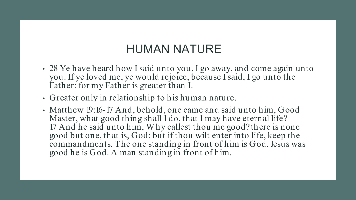### HUMAN NATURE

- 28 Ye have heard how I said unto you, I go away, and come again unto you. If ye loved me, ye would rejoice, because I said, I go unto the Father: for my Father is greater than I.
- Greater only in relationship to his human nature.
- Matthew 19:16-17 And, behold, one came and said unto him, Good Master, what good thing shall I do, that I may have eternal life? 17 And he said unto him, W hy callest thou me good? there is none good but one, that is, God: but if thou wilt enter into life, keep the commandments. The one standing in front of him is God. Jesus was good he is God. A man standing in front of him.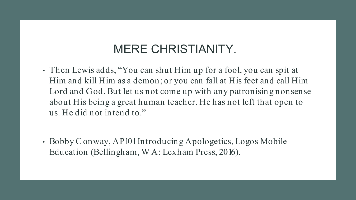### MERE CHRISTIANITY.

- Then Lewis adds, "You can shut Him up for a fool, you can spit at Him and kill Him as a demon; or you can fall at His feet and call Him Lord and God. But let us not come up with any patronising nonsense about His being a great human teacher. He has not left that open to us. He did not intend to."
- Bobby C onway, AP101 Introducing Apologetics, Logos Mobile Education (Bellingham, W A: Lexham Press, 2016).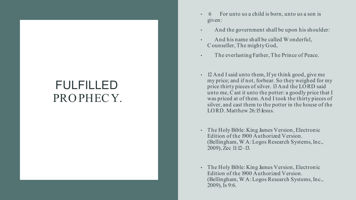#### FULFILLED PRO PHECY.

- 6 For unto us a child is born, unto us a son is given:
- And the government shall be upon his shoulder:
- And his name shall be called W onderful, C ounseller, The mighty God,
- The everlasting Father, The Prince of Peace.
- 12 And I said unto them, If ye think good, give me my price; and if not, forbear. So they weighed for my price thirty pieces of silver. 13And the LO RD said unto me, C ast it unto the potter: a goodly price that I was priced at of them. And I took the thirty pieces of silver, and cast them to the potter in the house of the LORD. Matthew 26:15 Jesus.
- The Holy Bible: King James Version, Electronic Edition of the 1900 Authorized Version. (Bellingham, W A: Logos Research Systems, Inc., 2009), Zec 11:12–13.
- The Holy Bible: King James Version, Electronic Edition of the 1900 Authorized Version. (Bellingham, W A: Logos Research Systems, Inc., 2009), Is 9:6.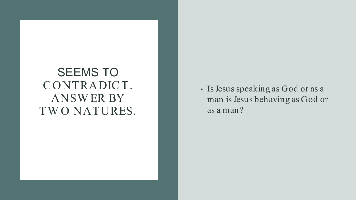#### SEEMS TO C O NTRADIC T. ANSW ER BY TW O NATURES.

• Is Jesus speaking as God or as a man is Jesus behaving as God or as a man?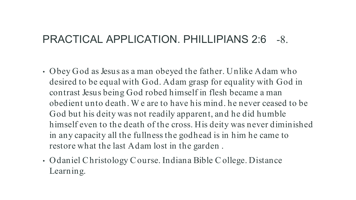#### PRACTICAL APPLICATION. PHILLIPIANS 2:6 -8.

- O bey God as Jesus as a man obeyed the father. Unlike Adam who desired to be equal with God. Adam grasp for equality with God in contrast Jesus being God robed himself in flesh became a man obedient unto death. W e are to have his mind. he never ceased to be God but his deity was not readily apparent, and he did humble himself even to the death of the cross. His deity was never diminished in any capacity all the fullness the godhead is in him he came to restore what the last Adam lost in the garden .
- O daniel C hristology C ourse. Indiana Bible C ollege. Distance Learning.